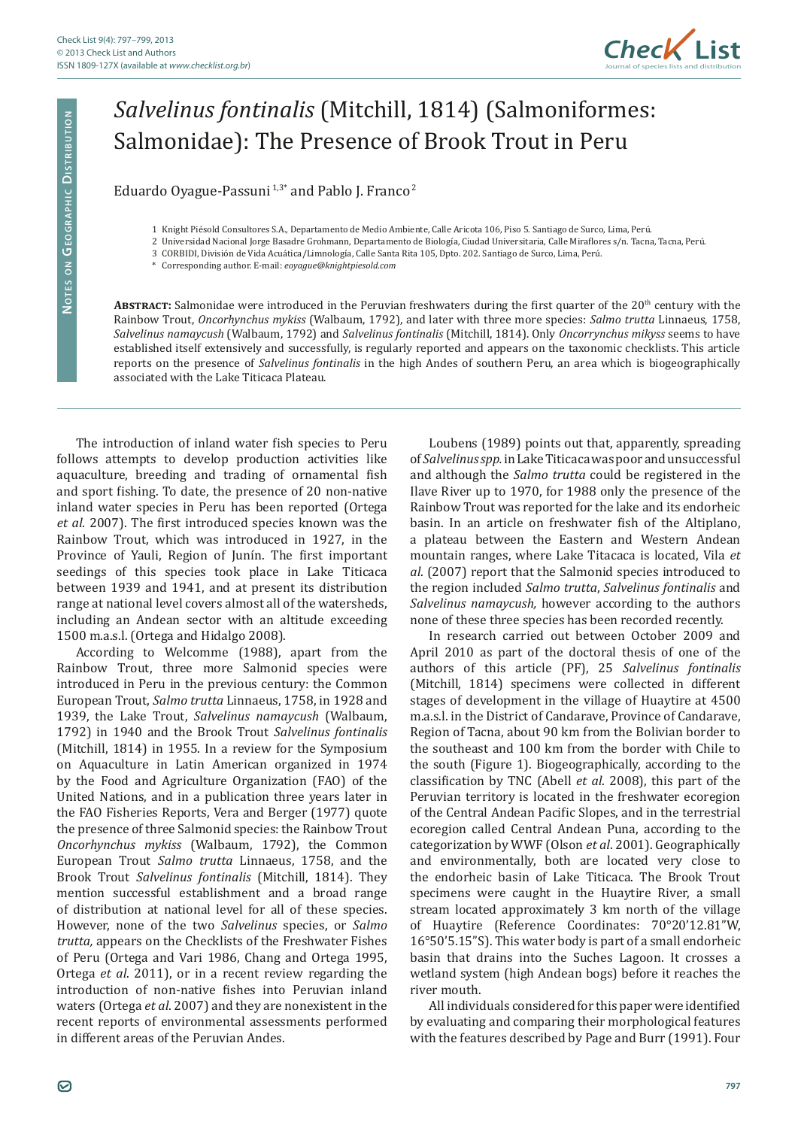

## *Salvelinus fontinalis* (Mitchill, 1814) (Salmoniformes: Salmonidae): The Presence of Brook Trout in Peru

Eduardo Oyague-Passuni<sup>1,3\*</sup> and Pablo J. Franco<sup>2</sup>

- 1 Knight Piésold Consultores S.A., Departamento de Medio Ambiente, Calle Aricota 106, Piso 5. Santiago de Surco, Lima, Perú.
- 2 Universidad Nacional Jorge Basadre Grohmann, Departamento de Biología, Ciudad Universitaria, Calle Miraflores s/n. Tacna, Tacna, Perú.
	- 3 CORBIDI, División de Vida Acuática/Limnología, Calle Santa Rita 105, Dpto. 202. Santiago de Surco, Lima, Perú.
- \* Corresponding author. E-mail: *eoyague@knightpiesold.com*

ABSTRACT: Salmonidae were introduced in the Peruvian freshwaters during the first quarter of the 20<sup>th</sup> century with the Rainbow Trout, *Oncorhynchus mykiss* (Walbaum, 1792), and later with three more species: *Salmo trutta* Linnaeus, 1758, *Salvelinus namaycush* (Walbaum, 1792) and *Salvelinus fontinalis* (Mitchill, 1814). Only *Oncorrynchus mikyss* seems to have established itself extensively and successfully, is regularly reported and appears on the taxonomic checklists. This article reports on the presence of *Salvelinus fontinalis* in the high Andes of southern Peru, an area which is biogeographically associated with the Lake Titicaca Plateau.

The introduction of inland water fish species to Peru follows attempts to develop production activities like aquaculture, breeding and trading of ornamental fish and sport fishing. To date, the presence of 20 non-native inland water species in Peru has been reported (Ortega *et al*. 2007). The first introduced species known was the Rainbow Trout, which was introduced in 1927, in the Province of Yauli, Region of Junín. The first important seedings of this species took place in Lake Titicaca between 1939 and 1941, and at present its distribution range at national level covers almost all of the watersheds, including an Andean sector with an altitude exceeding 1500 m.a.s.l. (Ortega and Hidalgo 2008).

According to Welcomme (1988), apart from the Rainbow Trout, three more Salmonid species were introduced in Peru in the previous century: the Common European Trout, *Salmo trutta* Linnaeus, 1758, in 1928 and 1939, the Lake Trout, *Salvelinus namaycush* (Walbaum, 1792) in 1940 and the Brook Trout *Salvelinus fontinalis* (Mitchill, 1814) in 1955. In a review for the Symposium on Aquaculture in Latin American organized in 1974 by the Food and Agriculture Organization (FAO) of the United Nations, and in a publication three years later in the FAO Fisheries Reports, Vera and Berger (1977) quote the presence of three Salmonid species: the Rainbow Trout *Oncorhynchus mykiss* (Walbaum, 1792), the Common European Trout *Salmo trutta* Linnaeus, 1758, and the Brook Trout *Salvelinus fontinalis* (Mitchill, 1814). They mention successful establishment and a broad range of distribution at national level for all of these species. However, none of the two *Salvelinus* species, or *Salmo trutta,* appears on the Checklists of the Freshwater Fishes of Peru (Ortega and Vari 1986, Chang and Ortega 1995, Ortega *et al*. 2011), or in a recent review regarding the introduction of non-native fishes into Peruvian inland waters (Ortega *et al*. 2007) and they are nonexistent in the recent reports of environmental assessments performed in different areas of the Peruvian Andes.

Loubens (1989) points out that, apparently, spreading of *Salvelinus spp.* in Lake Titicaca was poor and unsuccessful and although the *Salmo trutta* could be registered in the Ilave River up to 1970, for 1988 only the presence of the Rainbow Trout was reported for the lake and its endorheic basin. In an article on freshwater fish of the Altiplano, a plateau between the Eastern and Western Andean mountain ranges, where Lake Titacaca is located, Vila *et al*. (2007) report that the Salmonid species introduced to the region included *Salmo trutta*, *Salvelinus fontinalis* and *Salvelinus namaycush,* however according to the authors none of these three species has been recorded recently.

In research carried out between October 2009 and April 2010 as part of the doctoral thesis of one of the authors of this article (PF), 25 *Salvelinus fontinalis* (Mitchill, 1814) specimens were collected in different stages of development in the village of Huaytire at 4500 m.a.s.l. in the District of Candarave, Province of Candarave, Region of Tacna, about 90 km from the Bolivian border to the southeast and 100 km from the border with Chile to the south (Figure 1). Biogeographically, according to the classification by TNC (Abell *et al*. 2008), this part of the Peruvian territory is located in the freshwater ecoregion of the Central Andean Pacific Slopes, and in the terrestrial ecoregion called Central Andean Puna, according to the categorization by WWF (Olson *et al*. 2001). Geographically and environmentally, both are located very close to the endorheic basin of Lake Titicaca. The Brook Trout specimens were caught in the Huaytire River, a small stream located approximately 3 km north of the village of Huaytire (Reference Coordinates: 70°20'12.81"W, 16°50'5.15"S). This water body is part of a small endorheic basin that drains into the Suches Lagoon. It crosses a wetland system (high Andean bogs) before it reaches the river mouth.

All individuals considered for this paper were identified by evaluating and comparing their morphological features with the features described by Page and Burr (1991). Four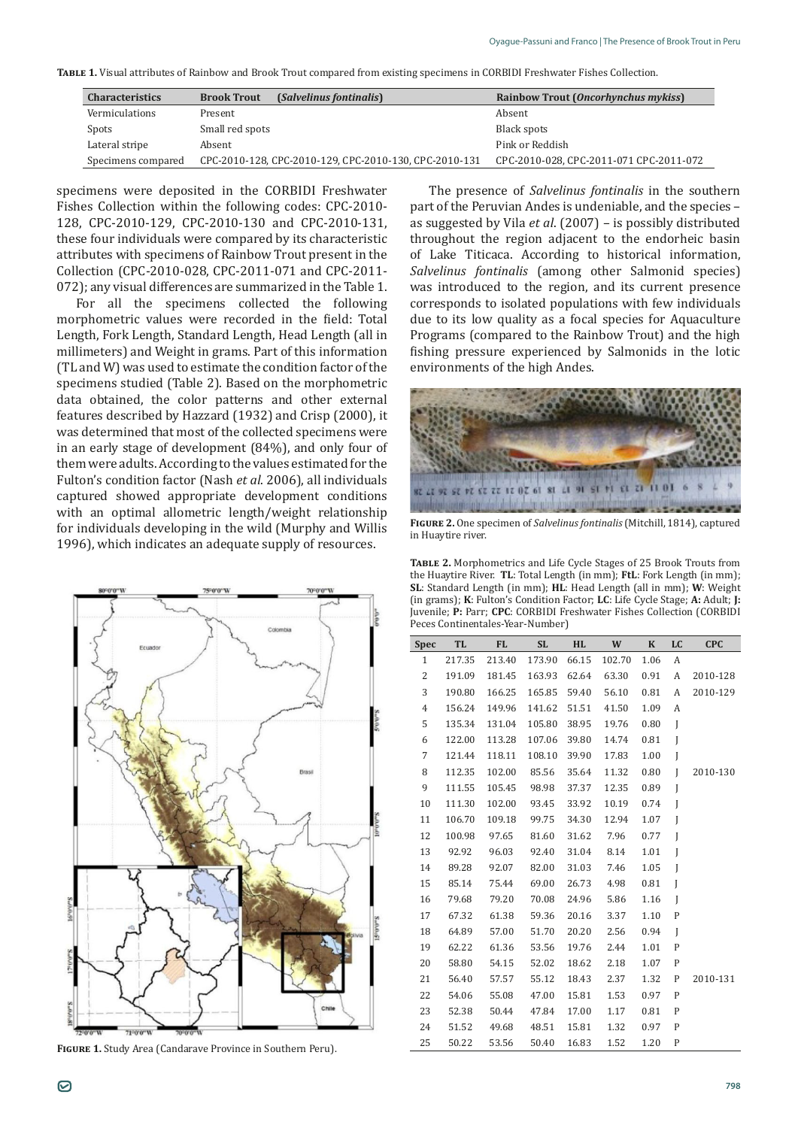**Table 1.** Visual attributes of Rainbow and Brook Trout compared from existing specimens in CORBIDI Freshwater Fishes Collection.

| <b>Characteristics</b> | (Salvelinus fontinalis)<br><b>Brook Trout</b>          | Rainbow Trout (Oncorhynchus mykiss)     |
|------------------------|--------------------------------------------------------|-----------------------------------------|
| Vermiculations         | Present                                                | Absent                                  |
| Spots                  | Small red spots                                        | Black spots                             |
| Lateral stripe         | Absent                                                 | Pink or Reddish                         |
| Specimens compared     | CPC-2010-128, CPC-2010-129, CPC-2010-130, CPC-2010-131 | CPC-2010-028, CPC-2011-071 CPC-2011-072 |

specimens were deposited in the CORBIDI Freshwater Fishes Collection within the following codes: CPC-2010- 128, CPC-2010-129, CPC-2010-130 and CPC-2010-131, these four individuals were compared by its characteristic attributes with specimens of Rainbow Trout present in the Collection (CPC-2010-028, CPC-2011-071 and CPC-2011- 072); any visual differences are summarized in the Table 1.

For all the specimens collected the following morphometric values were recorded in the field: Total Length, Fork Length, Standard Length, Head Length (all in millimeters) and Weight in grams. Part of this information (TL and W) was used to estimate the condition factor of the specimens studied (Table 2). Based on the morphometric data obtained, the color patterns and other external features described by Hazzard (1932) and Crisp (2000), it was determined that most of the collected specimens were in an early stage of development (84%), and only four of them were adults. According to the values estimated for the Fulton's condition factor (Nash *et al*. 2006), all individuals captured showed appropriate development conditions with an optimal allometric length/weight relationship for individuals developing in the wild (Murphy and Willis 1996), which indicates an adequate supply of resources.



**Figure 1.** Study Area (Candarave Province in Southern Peru).

The presence of *Salvelinus fontinalis* in the southern part of the Peruvian Andes is undeniable, and the species – as suggested by Vila *et al*. (2007) – is possibly distributed throughout the region adjacent to the endorheic basin of Lake Titicaca. According to historical information, *Salvelinus fontinalis* (among other Salmonid species) was introduced to the region, and its current presence corresponds to isolated populations with few individuals due to its low quality as a focal species for Aquaculture Programs (compared to the Rainbow Trout) and the high fishing pressure experienced by Salmonids in the lotic environments of the high Andes.



**Figure 2.** One specimen of *Salvelinus fontinalis* (Mitchill, 1814), captured in Huaytire river.

**Table 2.** Morphometrics and Life Cycle Stages of 25 Brook Trouts from the Huaytire River. **TL**: Total Length (in mm); **FtL**: Fork Length (in mm); **SL**: Standard Length (in mm); **HL**: Head Length (all in mm); **W**: Weight (in grams); **K**: Fulton's Condition Factor; **LC**: Life Cycle Stage; **A:** Adult; **J:**  Juvenile; **P:** Parr; **CPC**: CORBIDI Freshwater Fishes Collection (CORBIDI Peces Continentales-Year-Number)

| <b>Spec</b>    | <b>TL</b> | <b>FL</b>           | SL.    | HL    | W      | $\mathbf{K}$ | LC           | <b>CPC</b> |
|----------------|-----------|---------------------|--------|-------|--------|--------------|--------------|------------|
| $\mathbf{1}$   | 217.35    | 213.40              | 173.90 | 66.15 | 102.70 | 1.06         | А            |            |
| $\overline{c}$ | 191.09    | 181.45              | 163.93 | 62.64 | 63.30  | 0.91         | A            | 2010-128   |
| 3              | 190.80    | 166.25              | 165.85 | 59.40 | 56.10  | 0.81         | А            | 2010-129   |
| $\overline{4}$ | 156.24    | 149.96              | 141.62 | 51.51 | 41.50  | 1.09         | А            |            |
| 5              | 135.34    | 131.04              | 105.80 | 38.95 | 19.76  | 0.80         | J            |            |
| 6              | 122.00    | 113.28              | 107.06 | 39.80 | 14.74  | 0.81         | J            |            |
| $\overline{7}$ | 121.44    | 118.11              | 108.10 | 39.90 | 17.83  | 1.00         | I            |            |
| 8              | 112.35    | 102.00              | 85.56  | 35.64 | 11.32  | 0.80         | $\mathbf{I}$ | 2010-130   |
| 9              |           | 111.55 105.45 98.98 |        | 37.37 | 12.35  | 0.89         | I            |            |
| 10             | 111.30    | 102.00              | 93.45  | 33.92 | 10.19  | 0.74         | $\mathbf{I}$ |            |
| 11             | 106.70    | 109.18              | 99.75  | 34.30 | 12.94  | 1.07         | J            |            |
| 12             | 100.98    | 97.65               | 81.60  | 31.62 | 7.96   | 0.77         | J            |            |
| 13             | 92.92     | 96.03               | 92.40  | 31.04 | 8.14   | 1.01         | J            |            |
| 14             | 89.28     | 92.07               | 82.00  | 31.03 | 7.46   | 1.05         | J            |            |
| 15             | 85.14     | 75.44               | 69.00  | 26.73 | 4.98   | 0.81         | $\mathbf{I}$ |            |
| 16             | 79.68     | 79.20               | 70.08  | 24.96 | 5.86   | 1.16         | J            |            |
| 17             | 67.32     | 61.38               | 59.36  | 20.16 | 3.37   | 1.10         | $\mathbf P$  |            |
| 18             | 64.89     | 57.00               | 51.70  | 20.20 | 2.56   | 0.94         | $\mathbf{I}$ |            |
| 19             | 62.22     | 61.36               | 53.56  | 19.76 | 2.44   | 1.01         | P            |            |
| 20             | 58.80     | 54.15               | 52.02  | 18.62 | 2.18   | 1.07         | P            |            |
| 21             | 56.40     | 57.57               | 55.12  | 18.43 | 2.37   | 1.32         | P            | 2010-131   |
| 22             | 54.06     | 55.08               | 47.00  | 15.81 | 1.53   | 0.97         | $\mathbf{P}$ |            |
| 23             | 52.38     | 50.44               | 47.84  | 17.00 | 1.17   | 0.81         | P            |            |
| 24             | 51.52     | 49.68               | 48.51  | 15.81 | 1.32   | 0.97         | P            |            |
| 25             | 50.22     | 53.56               | 50.40  | 16.83 | 1.52   | 1.20         | P            |            |